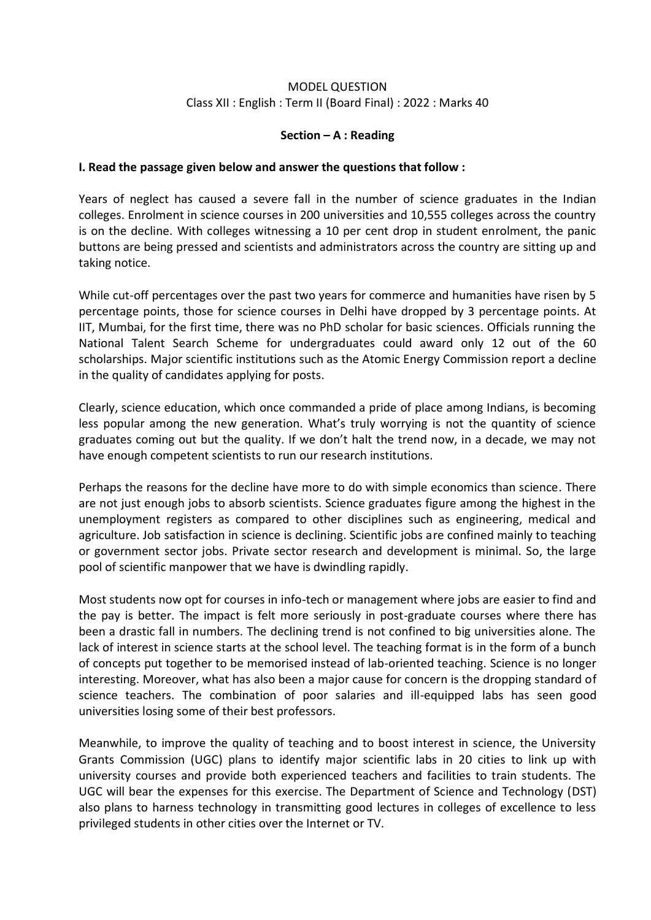## MODEL QUESTION Class XII : English : Term II (Board Final) : 2022 : Marks 40

## **Section – A : Reading**

#### **I. Read the passage given below and answer the questions that follow :**

Years of neglect has caused a severe fall in the number of science graduates in the Indian colleges. Enrolment in science courses in 200 universities and 10,555 colleges across the country is on the decline. With colleges witnessing a 10 per cent drop in student enrolment, the panic buttons are being pressed and scientists and administrators across the country are sitting up and taking notice.

While cut-off percentages over the past two years for commerce and humanities have risen by 5 percentage points, those for science courses in Delhi have dropped by 3 percentage points. At IIT, Mumbai, for the first time, there was no PhD scholar for basic sciences. Officials running the National Talent Search Scheme for undergraduates could award only 12 out of the 60 scholarships. Major scientific institutions such as the Atomic Energy Commission report a decline in the quality of candidates applying for posts.

Clearly, science education, which once commanded a pride of place among Indians, is becoming less popular among the new generation. What's truly worrying is not the quantity of science graduates coming out but the quality. If we don't halt the trend now, in a decade, we may not have enough competent scientists to run our research institutions.

Perhaps the reasons for the decline have more to do with simple economics than science. There are not just enough jobs to absorb scientists. Science graduates figure among the highest in the unemployment registers as compared to other disciplines such as engineering, medical and agriculture. Job satisfaction in science is declining. Scientific jobs are confined mainly to teaching or government sector jobs. Private sector research and development is minimal. So, the large pool of scientific manpower that we have is dwindling rapidly.

Most students now opt for courses in info-tech or management where jobs are easier to find and the pay is better. The impact is felt more seriously in post-graduate courses where there has been a drastic fall in numbers. The declining trend is not confined to big universities alone. The lack of interest in science starts at the school level. The teaching format is in the form of a bunch of concepts put together to be memorised instead of lab-oriented teaching. Science is no longer interesting. Moreover, what has also been a major cause for concern is the dropping standard of science teachers. The combination of poor salaries and ill-equipped labs has seen good universities losing some of their best professors.

Meanwhile, to improve the quality of teaching and to boost interest in science, the University Grants Commission (UGC) plans to identify major scientific labs in 20 cities to link up with university courses and provide both experienced teachers and facilities to train students. The UGC will bear the expenses for this exercise. The Department of Science and Technology (DST) also plans to harness technology in transmitting good lectures in colleges of excellence to less privileged students in other cities over the Internet or TV.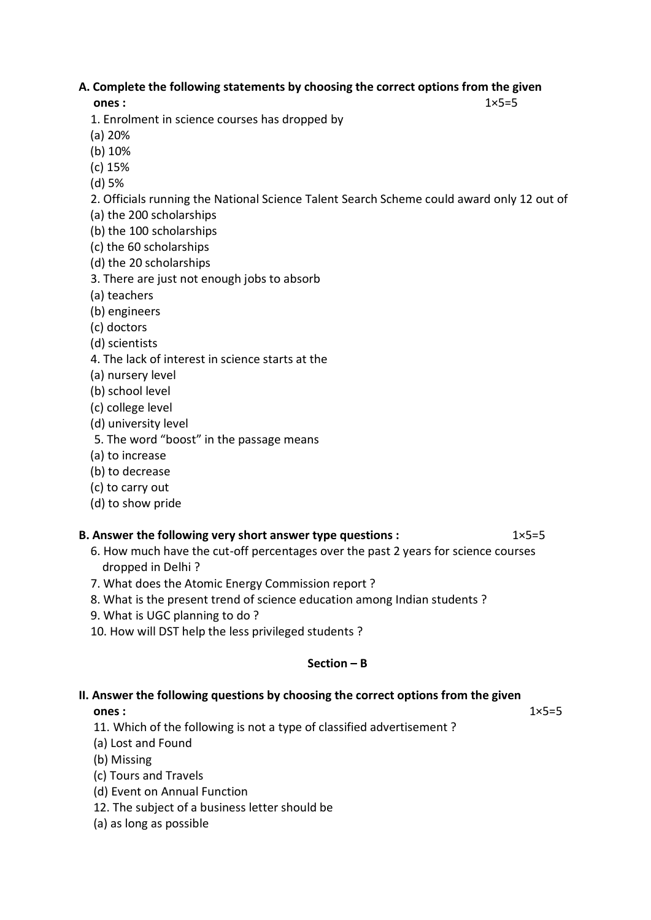## **A. Complete the following statements by choosing the correct options from the given**

## **ones :**  $1 \times 5=5$

1. Enrolment in science courses has dropped by

- (a) 20%
- (b) 10%
- (c) 15%
- (d) 5%
- 2. Officials running the National Science Talent Search Scheme could award only 12 out of
- (a) the 200 scholarships
- (b) the 100 scholarships
- (c) the 60 scholarships
- (d) the 20 scholarships
- 3. There are just not enough jobs to absorb
- (a) teachers
- (b) engineers
- (c) doctors
- (d) scientists
- 4. The lack of interest in science starts at the
- (a) nursery level
- (b) school level
- (c) college level
- (d) university level
- 5. The word "boost" in the passage means
- (a) to increase
- (b) to decrease
- (c) to carry out
- (d) to show pride

## **B. Answer the following very short answer type questions :** 1×5=5

- 6. How much have the cut-off percentages over the past 2 years for science courses dropped in Delhi ?
- 7. What does the Atomic Energy Commission report ?
- 8. What is the present trend of science education among Indian students ?
- 9. What is UGC planning to do ?
- 10. How will DST help the less privileged students ?

## **Section – B**

# **II. Answer the following questions by choosing the correct options from the given**

**ones :**  $1 \times 5=5$ 

- 11. Which of the following is not a type of classified advertisement ?
- (a) Lost and Found
- (b) Missing
- (c) Tours and Travels
- (d) Event on Annual Function
- 12. The subject of a business letter should be
- (a) as long as possible